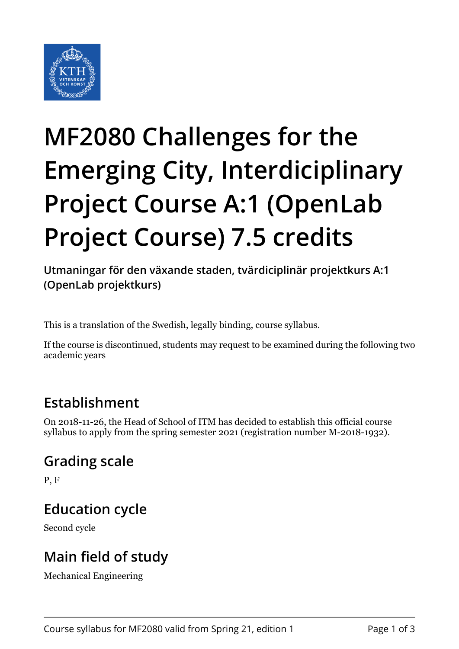

# **MF2080 Challenges for the Emerging City, Interdiciplinary Project Course A:1 (OpenLab Project Course) 7.5 credits**

**Utmaningar för den växande staden, tvärdiciplinär projektkurs A:1 (OpenLab projektkurs)**

This is a translation of the Swedish, legally binding, course syllabus.

If the course is discontinued, students may request to be examined during the following two academic years

## **Establishment**

On 2018-11-26, the Head of School of ITM has decided to establish this official course syllabus to apply from the spring semester 2021 (registration number M-2018-1932).

#### **Grading scale**

P, F

#### **Education cycle**

Second cycle

## **Main field of study**

Mechanical Engineering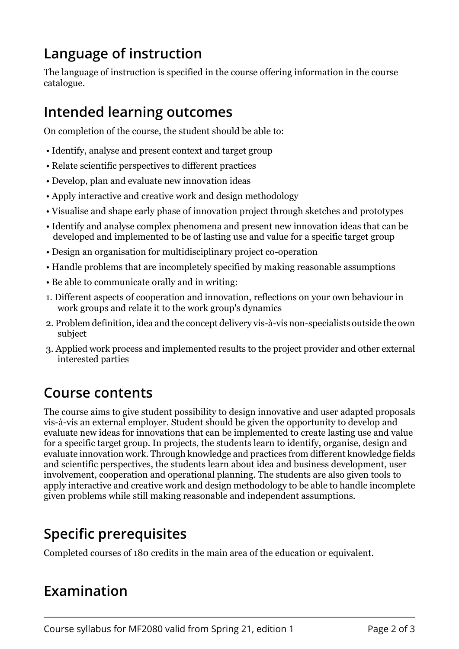## **Language of instruction**

The language of instruction is specified in the course offering information in the course catalogue.

#### **Intended learning outcomes**

On completion of the course, the student should be able to:

- Identify, analyse and present context and target group
- Relate scientific perspectives to different practices
- Develop, plan and evaluate new innovation ideas
- Apply interactive and creative work and design methodology
- Visualise and shape early phase of innovation project through sketches and prototypes
- Identify and analyse complex phenomena and present new innovation ideas that can be developed and implemented to be of lasting use and value for a specific target group
- Design an organisation for multidisciplinary project co-operation
- Handle problems that are incompletely specified by making reasonable assumptions
- Be able to communicate orally and in writing:
- 1. Different aspects of cooperation and innovation, reflections on your own behaviour in work groups and relate it to the work group's dynamics
- 2. Problem definition, idea and the concept delivery vis-à-vis non-specialists outside the own subject
- 3. Applied work process and implemented results to the project provider and other external interested parties

#### **Course contents**

The course aims to give student possibility to design innovative and user adapted proposals vis-à-vis an external employer. Student should be given the opportunity to develop and evaluate new ideas for innovations that can be implemented to create lasting use and value for a specific target group. In projects, the students learn to identify, organise, design and evaluate innovation work. Through knowledge and practices from different knowledge fields and scientific perspectives, the students learn about idea and business development, user involvement, cooperation and operational planning. The students are also given tools to apply interactive and creative work and design methodology to be able to handle incomplete given problems while still making reasonable and independent assumptions.

## **Specific prerequisites**

Completed courses of 180 credits in the main area of the education or equivalent.

## **Examination**